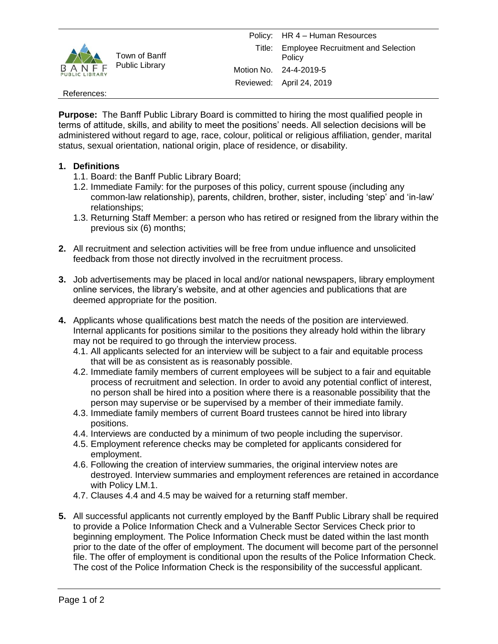

## References:

**Purpose:** The Banff Public Library Board is committed to hiring the most qualified people in terms of attitude, skills, and ability to meet the positions' needs. All selection decisions will be administered without regard to age, race, colour, political or religious affiliation, gender, marital status, sexual orientation, national origin, place of residence, or disability.

## **1. Definitions**

- 1.1. Board: the Banff Public Library Board;
- 1.2. Immediate Family: for the purposes of this policy, current spouse (including any common-law relationship), parents, children, brother, sister, including 'step' and 'in-law' relationships;
- 1.3. Returning Staff Member: a person who has retired or resigned from the library within the previous six (6) months;
- **2.** All recruitment and selection activities will be free from undue influence and unsolicited feedback from those not directly involved in the recruitment process.
- **3.** Job advertisements may be placed in local and/or national newspapers, library employment online services, the library's website, and at other agencies and publications that are deemed appropriate for the position.
- **4.** Applicants whose qualifications best match the needs of the position are interviewed. Internal applicants for positions similar to the positions they already hold within the library may not be required to go through the interview process.
	- 4.1. All applicants selected for an interview will be subject to a fair and equitable process that will be as consistent as is reasonably possible.
	- 4.2. Immediate family members of current employees will be subject to a fair and equitable process of recruitment and selection. In order to avoid any potential conflict of interest, no person shall be hired into a position where there is a reasonable possibility that the person may supervise or be supervised by a member of their immediate family.
	- 4.3. Immediate family members of current Board trustees cannot be hired into library positions.
	- 4.4. Interviews are conducted by a minimum of two people including the supervisor.
	- 4.5. Employment reference checks may be completed for applicants considered for employment.
	- 4.6. Following the creation of interview summaries, the original interview notes are destroyed. Interview summaries and employment references are retained in accordance with Policy LM.1.
	- 4.7. Clauses 4.4 and 4.5 may be waived for a returning staff member.
- **5.** All successful applicants not currently employed by the Banff Public Library shall be required to provide a Police Information Check and a Vulnerable Sector Services Check prior to beginning employment. The Police Information Check must be dated within the last month prior to the date of the offer of employment. The document will become part of the personnel file. The offer of employment is conditional upon the results of the Police Information Check. The cost of the Police Information Check is the responsibility of the successful applicant.